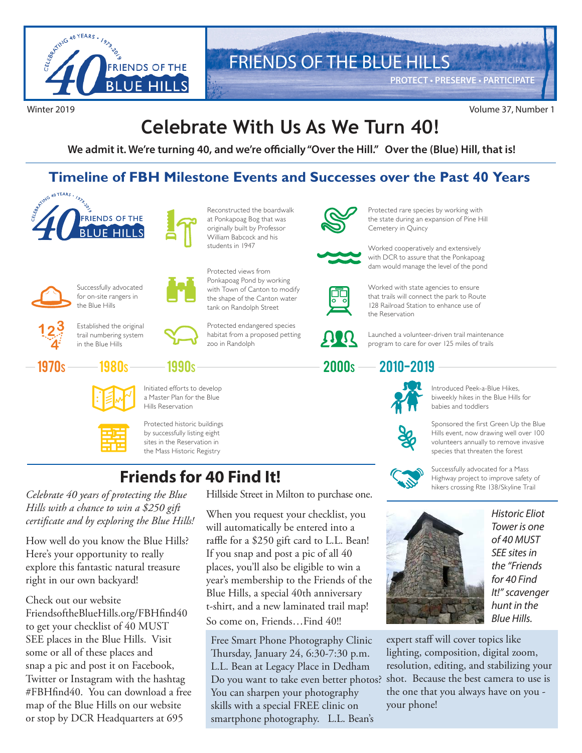

# FRIENDS OF THE BLUE HILLS

**PROTECT • PRESERVE • PARTICIPATE**

#### Winter 2019 Volume 37, Number 1

# **Celebrate With Us As We Turn 40!**

**We admit it. We're turning 40, and we're officially "Over the Hill." Over the (Blue) Hill, that is!**

#### **Timeline of FBH Milestone Events and Successes over the Past 40 Years**





Reconstructed the boardwalk at Ponkapoag Bog that was originally built by Professor William Babcock and his students in 1947

Protected endangered species habitat from a proposed petting

Protected views from Ponkapoag Pond by working with Town of Canton to modify the shape of the Canton water tank on Randolph Street

zoo in Randolph



Protected rare species by working with the state during an expansion of Pine Hill Cemetery in Quincy



Worked cooperatively and extensively with DCR to assure that the Ponkapoag dam would manage the level of the pond



Worked with state agencies to ensure that trails will connect the park to Route 128 Railroad Station to enhance use of the Reservation



Launched a volunteer-driven trail maintenance program to care for over 125 miles of trails

#### 2010-2019 2000<sup>S</sup>



Introduced Peek-a-Blue Hikes, biweekly hikes in the Blue Hills for babies and toddlers

Sponsored the first Green Up the Blue Hills event, now drawing well over 100 volunteers annually to remove invasive species that threaten the forest



Successfully advocated for a Mass Highway project to improve safety of hikers crossing Rte 138/Skyline Trail



*Historic Eliot Tower is one of 40 MUST SEE sites in the "Friends for 40 Find It!" scavenger hunt in the Blue Hills.*

expert staff will cover topics like lighting, composition, digital zoom, resolution, editing, and stabilizing your shot. Because the best camera to use is the one that you always have on you your phone!



Successfully advocated for on-site rangers in the Blue Hills



1970<sub>S</sub>

Established the original trail numbering system in the Blue Hills





Initiated efforts to develop a Master Plan for the Blue Hills Reservation

1990s



Protected historic buildings by successfully listing eight sites in the Reservation in the Mass Historic Registry

### **Friends for 40 Find It!**

*Celebrate 40 years of protecting the Blue Hills with a chance to win a \$250 gift certificate and by exploring the Blue Hills!* 

How well do you know the Blue Hills? Here's your opportunity to really explore this fantastic natural treasure right in our own backyard!

Check out our website FriendsoftheBlueHills.org/FBHfind40 to get your checklist of 40 MUST SEE places in the Blue Hills. Visit some or all of these places and snap a pic and post it on Facebook, Twitter or Instagram with the hashtag #FBHfind40. You can download a free map of the Blue Hills on our website or stop by DCR Headquarters at 695

Hillside Street in Milton to purchase one.

When you request your checklist, you will automatically be entered into a raffle for a \$250 gift card to L.L. Bean! If you snap and post a pic of all 40 places, you'll also be eligible to win a year's membership to the Friends of the Blue Hills, a special 40th anniversary t-shirt, and a new laminated trail map! So come on, Friends…Find 40!!

Free Smart Phone Photography Clinic Thursday, January 24, 6:30-7:30 p.m. L.L. Bean at Legacy Place in Dedham Do you want to take even better photos? You can sharpen your photography skills with a special FREE clinic on smartphone photography. L.L. Bean's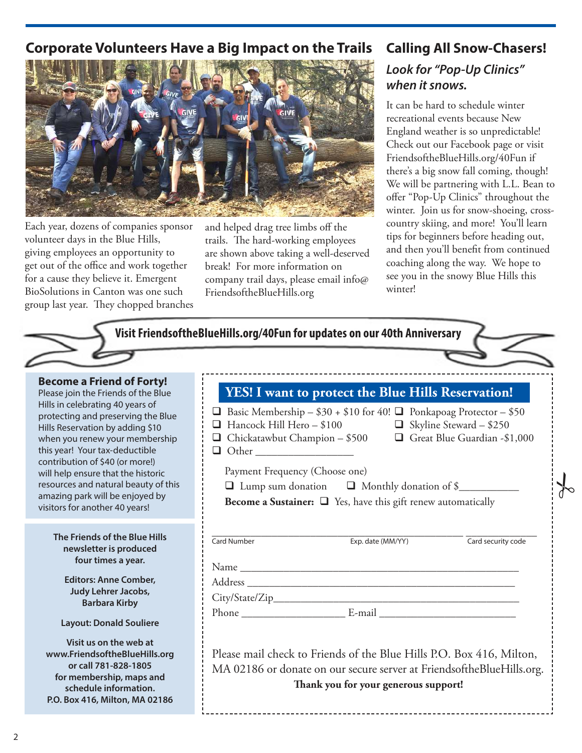#### **Corporate Volunteers Have a Big Impact on the Trails Calling All Snow-Chasers!**



Each year, dozens of companies sponsor volunteer days in the Blue Hills, giving employees an opportunity to get out of the office and work together for a cause they believe it. Emergent BioSolutions in Canton was one such group last year. They chopped branches

and helped drag tree limbs off the trails. The hard-working employees are shown above taking a well-deserved break! For more information on company trail days, please email info@ FriendsoftheBlueHills.org

# **Look for "Pop-Up Clinics" when it snows.**

It can be hard to schedule winter recreational events because New England weather is so unpredictable! Check out our Facebook page or visit FriendsoftheBlueHills.org/40Fun if there's a big snow fall coming, though! We will be partnering with L.L. Bean to offer "Pop-Up Clinics" throughout the winter. Join us for snow-shoeing, crosscountry skiing, and more! You'll learn tips for beginners before heading out, and then you'll benefit from continued coaching along the way. We hope to see you in the snowy Blue Hills this winter!

| <b>Become a Friend of Forty!</b><br>Please join the Friends of the Blue<br>Hills in celebrating 40 years of<br>protecting and preserving the Blue<br>Hills Reservation by adding \$10<br>when you renew your membership<br>this year! Your tax-deductible<br>contribution of \$40 (or more!)<br>will help ensure that the historic<br>resources and natural beauty of this<br>amazing park will be enjoyed by<br>visitors for another 40 years! | <b>YES! I want to protect the Blue Hills Reservation!</b><br><b>u</b> Basic Membership – $$30 + $10$ for 40! <b>u</b> Ponkapoag Protector – $$50$<br>Hancock Hill Hero - $$100$ $\Box$ Skyline Steward - $$250$<br>$\Box$<br>□ Chickatawbut Champion - \$500 □ Great Blue Guardian -\$1,000<br>$\Box$ Other<br>Payment Frequency (Choose one)<br>□ Lump sum donation □ Monthly donation of \$<br><b>Become a Sustainer:</b> $\Box$ Yes, have this gift renew automatically |
|-------------------------------------------------------------------------------------------------------------------------------------------------------------------------------------------------------------------------------------------------------------------------------------------------------------------------------------------------------------------------------------------------------------------------------------------------|----------------------------------------------------------------------------------------------------------------------------------------------------------------------------------------------------------------------------------------------------------------------------------------------------------------------------------------------------------------------------------------------------------------------------------------------------------------------------|
| The Friends of the Blue Hills<br>newsletter is produced<br>four times a year.<br><b>Editors: Anne Comber,</b><br>Judy Lehrer Jacobs,<br><b>Barbara Kirby</b><br><b>Layout: Donald Souliere</b><br>Visit us on the web at<br>www.FriendsoftheBlueHills.org<br>or call 781-828-1805<br>for membership, maps and<br>schedule information.<br>P.O. Box 416, Milton, MA 02186                                                                        | Card Number<br>Exp. date (MM/YY)<br>Card security code<br>Please mail check to Friends of the Blue Hills P.O. Box 416, Milton,<br>MA 02186 or donate on our secure server at FriendsoftheBlueHills.org.<br>Thank you for your generous support!                                                                                                                                                                                                                            |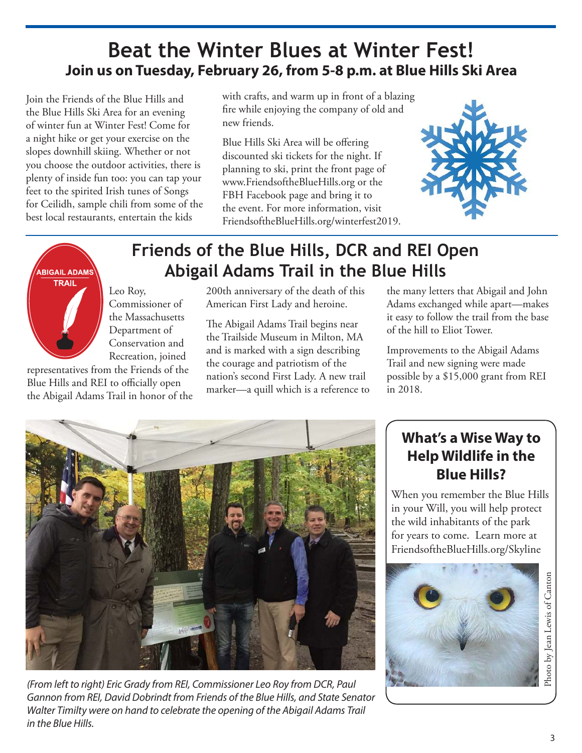## **Beat the Winter Blues at Winter Fest! Join us on Tuesday, February 26, from 5-8 p.m. at Blue Hills Ski Area**

Join the Friends of the Blue Hills and the Blue Hills Ski Area for an evening of winter fun at Winter Fest! Come for a night hike or get your exercise on the slopes downhill skiing. Whether or not you choose the outdoor activities, there is plenty of inside fun too: you can tap your feet to the spirited Irish tunes of Songs for Ceilidh, sample chili from some of the best local restaurants, entertain the kids

with crafts, and warm up in front of a blazing fire while enjoying the company of old and new friends.

Blue Hills Ski Area will be offering discounted ski tickets for the night. If planning to ski, print the front page of www.FriendsoftheBlueHills.org or the FBH Facebook page and bring it to the event. For more information, visit FriendsoftheBlueHills.org/winterfest2019.





## **Friends of the Blue Hills, DCR and REI Open Abigail Adams Trail in the Blue Hills**

Leo Roy, Commissioner of the Massachusetts Department of Conservation and Recreation, joined

representatives from the Friends of the Blue Hills and REI to officially open the Abigail Adams Trail in honor of the 200th anniversary of the death of this American First Lady and heroine.

The Abigail Adams Trail begins near the Trailside Museum in Milton, MA and is marked with a sign describing the courage and patriotism of the nation's second First Lady. A new trail marker—a quill which is a reference to the many letters that Abigail and John Adams exchanged while apart—makes it easy to follow the trail from the base of the hill to Eliot Tower.

Improvements to the Abigail Adams Trail and new signing were made possible by a \$15,000 grant from REI in 2018.



*(From left to right) Eric Grady from REI, Commissioner Leo Roy from DCR, Paul Gannon from REI, David Dobrindt from Friends of the Blue Hills, and State Senator*  Walter Timilty were on hand to celebrate the opening of the Abigail Adams Trail *in the Blue Hills.*

#### **What's a Wise Way to Help Wildlife in the Blue Hills?**

When you remember the Blue Hills in your Will, you will help protect the wild inhabitants of the park for years to come. Learn more at FriendsoftheBlueHills.org/Skyline

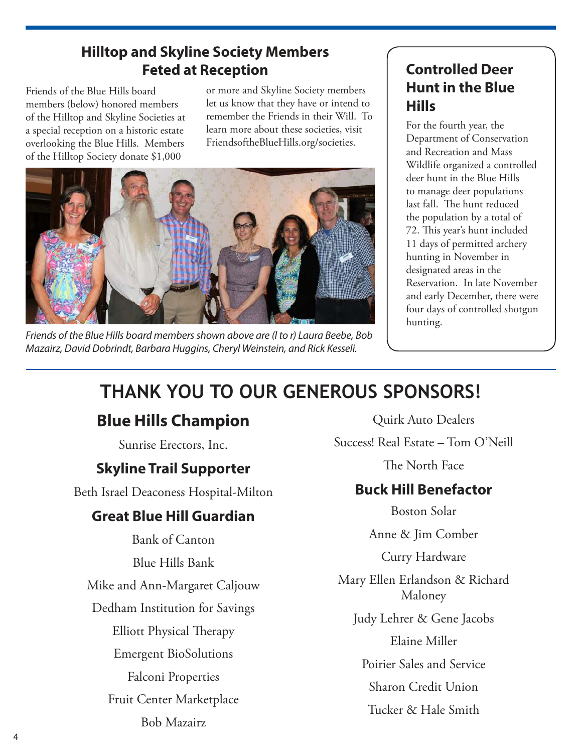#### **Hilltop and Skyline Society Members Feted at Reception**

Friends of the Blue Hills board members (below) honored members of the Hilltop and Skyline Societies at a special reception on a historic estate overlooking the Blue Hills. Members of the Hilltop Society donate \$1,000

or more and Skyline Society members let us know that they have or intend to remember the Friends in their Will. To learn more about these societies, visit FriendsoftheBlueHills.org/societies.



*Friends of the Blue Hills board members shown above are (l to r) Laura Beebe, Bob Mazairz, David Dobrindt, Barbara Huggins, Cheryl Weinstein, and Rick Kesseli.*

#### **Controlled Deer Hunt in the Blue Hills**

For the fourth year, the Department of Conservation and Recreation and Mass Wildlife organized a controlled deer hunt in the Blue Hills to manage deer populations last fall. The hunt reduced the population by a total of 72. This year's hunt included 11 days of permitted archery hunting in November in designated areas in the Reservation. In late November and early December, there were four days of controlled shotgun hunting.

# **THANK YOU TO OUR GENEROUS SPONSORS!**

## **Blue Hills Champion**

Sunrise Erectors, Inc.

### **Skyline Trail Supporter**

Beth Israel Deaconess Hospital-Milton

#### **Great Blue Hill Guardian**

Bank of Canton Blue Hills Bank Mike and Ann-Margaret Caljouw Dedham Institution for Savings Elliott Physical Therapy Emergent BioSolutions Falconi Properties Fruit Center Marketplace Bob Mazairz

Quirk Auto Dealers

Success! Real Estate – Tom O'Neill

The North Face

### **Buck Hill Benefactor**

Boston Solar

Anne & Jim Comber

Curry Hardware

Mary Ellen Erlandson & Richard Maloney

Judy Lehrer & Gene Jacobs

Elaine Miller

Poirier Sales and Service

Sharon Credit Union

Tucker & Hale Smith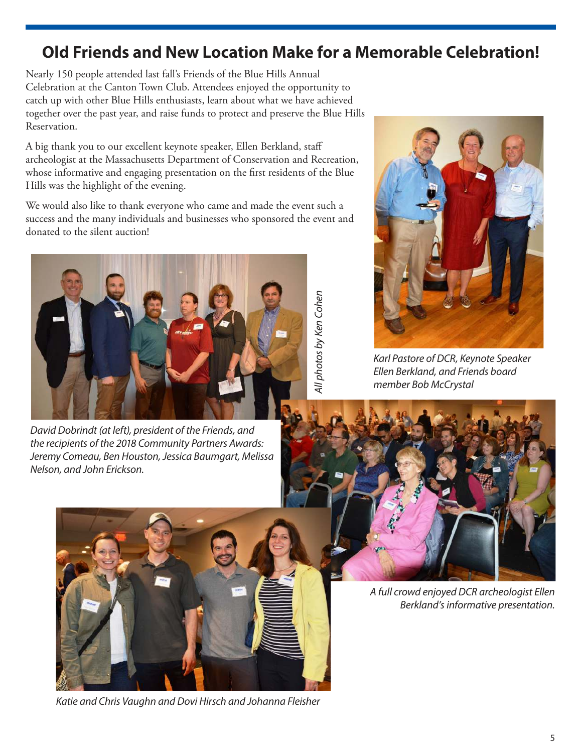### **Old Friends and New Location Make for a Memorable Celebration!**

*All photos by Ken Cohen*

4/l photos by Ken Cohen

Nearly 150 people attended last fall's Friends of the Blue Hills Annual Celebration at the Canton Town Club. Attendees enjoyed the opportunity to catch up with other Blue Hills enthusiasts, learn about what we have achieved together over the past year, and raise funds to protect and preserve the Blue Hills Reservation.

A big thank you to our excellent keynote speaker, Ellen Berkland, staff archeologist at the Massachusetts Department of Conservation and Recreation, whose informative and engaging presentation on the first residents of the Blue Hills was the highlight of the evening.

We would also like to thank everyone who came and made the event such a success and the many individuals and businesses who sponsored the event and donated to the silent auction!



*David Dobrindt (at left), president of the Friends, and the recipients of the 2018 Community Partners Awards: Jeremy Comeau, Ben Houston, Jessica Baumgart, Melissa Nelson, and John Erickson.*



*Karl Pastore of DCR, Keynote Speaker Ellen Berkland, and Friends board member Bob McCrystal*





*Katie and Chris Vaughn and Dovi Hirsch and Johanna Fleisher*